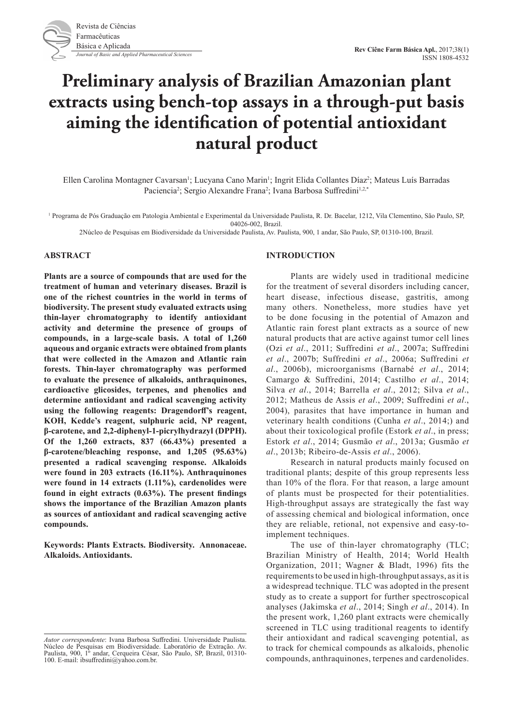

# **Preliminary analysis of Brazilian Amazonian plant extracts using bench-top assays in a through-put basis aiming the identification of potential antioxidant natural product**

Ellen Carolina Montagner Cavarsan<sup>1</sup>; Lucyana Cano Marin<sup>1</sup>; Ingrit Elida Collantes Díaz<sup>2</sup>; Mateus Luís Barradas Paciencia<sup>2</sup>; Sergio Alexandre Frana<sup>2</sup>; Ivana Barbosa Suffredini<sup>1,2,\*</sup>

1 Programa de Pós Graduação em Patologia Ambiental e Experimental da Universidade Paulista, R. Dr. Bacelar, 1212, Vila Clementino, São Paulo, SP, 04026-002, Brazil.

2Núcleo de Pesquisas em Biodiversidade da Universidade Paulista, Av. Paulista, 900, 1 andar, São Paulo, SP, 01310-100, Brazil.

## **ABSTRACT**

**Plants are a source of compounds that are used for the treatment of human and veterinary diseases. Brazil is one of the richest countries in the world in terms of biodiversity. The present study evaluated extracts using thin-layer chromatography to identify antioxidant activity and determine the presence of groups of compounds, in a large-scale basis. A total of 1,260 aqueous and organic extracts were obtained from plants that were collected in the Amazon and Atlantic rain forests. Thin-layer chromatography was performed to evaluate the presence of alkaloids, anthraquinones, cardioactive glicosides, terpenes, and phenolics and determine antioxidant and radical scavenging activity using the following reagents: Dragendorff's reagent, KOH, Kedde's reagent, sulphuric acid, NP reagent, β-carotene, and 2,2-diphenyl-1-picrylhydrazyl (DPPH). Of the 1,260 extracts, 837 (66.43%) presented a β-carotene/bleaching response, and 1,205 (95.63%) presented a radical scavenging response. Alkaloids were found in 203 extracts (16.11%). Anthraquinones were found in 14 extracts (1.11%), cardenolides were found in eight extracts (0.63%). The present findings shows the importance of the Brazilian Amazon plants as sources of antioxidant and radical scavenging active compounds.**

**Keywords: Plants Extracts. Biodiversity. Annonaceae. Alkaloids. Antioxidants.**

#### **INTRODUCTION**

Plants are widely used in traditional medicine for the treatment of several disorders including cancer, heart disease, infectious disease, gastritis, among many others. Nonetheless, more studies have yet to be done focusing in the potential of Amazon and Atlantic rain forest plant extracts as a source of new natural products that are active against tumor cell lines (Ozi *et al*., 2011; Suffredini *et al*., 2007a; Suffredini *et al*., 2007b; Suffredini *et al*., 2006a; Suffredini *et al*., 2006b), microorganisms (Barnabé *et al*., 2014; Camargo & Suffredini, 2014; Castilho *et al*., 2014; Silva *et al*., 2014; Barrella *et al*., 2012; Silva *et al*., 2012; Matheus de Assis *et al*., 2009; Suffredini *et al*., 2004), parasites that have importance in human and veterinary health conditions (Cunha *et al*., 2014;) and about their toxicological profile (Estork *et al*., in press; Estork *et al*., 2014; Gusmão *et al*., 2013a; Gusmão *et al*., 2013b; Ribeiro-de-Assis *et al*., 2006).

Research in natural products mainly focused on traditional plants; despite of this group represents less than 10% of the flora. For that reason, a large amount of plants must be prospected for their potentialities. High-throughput assays are strategically the fast way of assessing chemical and biological information, once they are reliable, retional, not expensive and easy-toimplement techniques.

The use of thin-layer chromatography (TLC; Brazilian Ministry of Health, 2014; World Health Organization, 2011; Wagner & Bladt, 1996) fits the requirements to be used in high-throughput assays, as it is a widespread technique. TLC was adopted in the present study as to create a support for further spectroscopical analyses (Jakimska *et al*., 2014; Singh *et al*., 2014). In the present work, 1,260 plant extracts were chemically screened in TLC using traditional reagents to identify their antioxidant and radical scavenging potential, as to track for chemical compounds as alkaloids, phenolic compounds, anthraquinones, terpenes and cardenolides.

*Autor correspondente*: Ivana Barbosa Suffredini. Universidade Paulista. Núcleo de Pesquisas em Biodiversidade. Laboratório de Extração. Av. Paulista, 900, 1º andar, Cerqueira César, São Paulo, SP, Brazil, 01310- 100. E-mail: ibsuffredini@yahoo.com.br.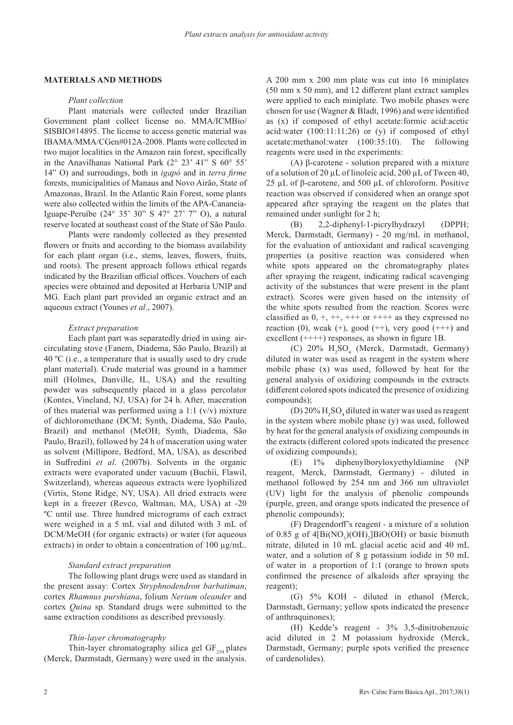# **MATERIALS AND METHODS**

#### *Plant collection*

Plant materials were collected under Brazilian Government plant collect license no. MMA/ICMBio/ SISBIO#14895. The license to access genetic material was IBAMA/MMA/CGen#012A-2008. Plants were collected in two major localities in the Amazon rain forest, specifically in the Anavilhanas National Park (2° 23' 41" S 60° 55' 14" O) and surroudings, both in *igapó* and in *terra firme* forests, municipalities of Manaus and Novo Airão, State of Amazonas, Brazil. In the Atlantic Rain Forest, some plants were also collected within the limits of the APA-Cananeia-Iguape-Peruíbe (24° 35' 30" S 47° 27' 7" O), a natural reserve located at southeast coast of the State of São Paulo.

Plants were randomly collected as they presented flowers or fruits and according to the biomass availability for each plant organ (i.e., stems, leaves, flowers, fruits, and roots). The present approach follows ethical regards indicated by the Brazilian official offices. Vouchers of each species were obtained and deposited at Herbaria UNIP and MG. Each plant part provided an organic extract and an aqueous extract (Younes *et al*., 2007).

#### *Extract preparation*

Each plant part was separatedly dried in using aircirculating stove (Fanem, Diadema, São Paulo, Brazil) at 40 ºC (i.e., a temperature that is usually used to dry crude plant material). Crude material was ground in a hammer mill (Holmes, Danville, IL, USA) and the resulting powder was subsequently placed in a glass percolator (Kontes, Vineland, NJ, USA) for 24 h. After, maceration of thes material was performed using a 1:1  $(v/v)$  mixture of dichloromethane (DCM; Synth, Diadema, São Paulo, Brazil) and methanol (MeOH; Synth, Diadema, São Paulo, Brazil), followed by 24 h of maceration using water as solvent (Millipore, Bedford, MA, USA), as described in Suffredini *et al*. (2007b). Solvents in the organic extracts were evaporated under vacuum (Buchii, Flawil, Switzerland), whereas aqueous extracts were lyophilized (Virtis, Stone Ridge, NY, USA). All dried extracts were kept in a freezer (Revco, Waltman, MA, USA) at -20 ºC until use. Three hundred micrograms of each extract were weighed in a 5 mL vial and diluted with 3 mL of DCM/MeOH (for organic extracts) or water (for aqueous extracts) in order to obtain a concentration of 100  $\mu$ g/mL.

## *Standard extract preparation*

The following plant drugs were used as standard in the present assay: Cortex *Stryphnodendron barbatiman*, cortex *Rhamnus purshiana*, folium *Nerium oleander* and cortex *Quina* sp. Standard drugs were submitted to the same extraction conditions as described previously.

## *Thin-layer chromatography*

Thin-layer chromatography silica gel  $GF_{254}$  plates (Merck, Darmstadt, Germany) were used in the analysis.

A 200 mm x 200 mm plate was cut into 16 miniplates (50 mm x 50 mm), and 12 different plant extract samples were applied to each miniplate. Two mobile phases were chosen for use (Wagner & Bladt, 1996) and were identified as (x) if composed of ethyl acetate:formic acid:acetic acid:water (100:11:11:26) or (y) if composed of ethyl acetate:methanol:water (100:35:10). The following reagents were used in the experiments:

(A) β-carotene - solution prepared with a mixture of a solution of 20 µL of linoleic acid, 200 µL of Tween 40, 25 µL of β-carotene, and 500 µL of chloroform. Positive reaction was observed if considered when an orange spot appeared after spraying the reagent on the plates that remained under sunlight for 2 h;

(B) 2,2-diphenyl-1-picrylhydrazyl (DPPH; Merck, Darmstadt, Germany) - 20 mg/mL in methanol, for the evaluation of antioxidant and radical scavenging properties (a positive reaction was considered when white spots appeared on the chromatography plates after spraying the reagent, indicating radical scavenging activity of the substances that were present in the plant extract). Scores were given based on the intensity of the white spots resulted from the reaction. Scores were classified as  $0, +, ++, +++$  or  $+++$  as they expressed no reaction (0), weak  $(+)$ , good  $(++)$ , very good  $(++)$  and excellent (++++) responses, as shown in figure 1B.

(C) 20%  $H_2SO_4$  (Merck, Darmstadt, Germany) diluted in water was used as reagent in the system where mobile phase (x) was used, followed by heat for the general analysis of oxidizing compounds in the extracts (different colored spots indicated the presence of oxidizing compounds);

(D)  $20\%$  H<sub>2</sub>SO<sub>4</sub> diluted in water was used as reagent in the system where mobile phase (y) was used, followed by heat for the general analysis of oxidizing compounds in the extracts (different colored spots indicated the presence of oxidizing compounds);

(E) 1% diphenylboryloxyethyldiamine (NP reagent, Merck, Darmstadt, Germany) - diluted in methanol followed by 254 nm and 366 nm ultraviolet (UV) light for the analysis of phenolic compounds (purple, green, and orange spots indicated the presence of phenolic compounds);

(F) Dragendorff's reagent - a mixture of a solution of 0.85 g of  $4[Bi(NO_3)(OH)_2]BiO(OH)$  or basic bismuth nitrate, diluted in 10 mL glacial acetic acid and 40 mL water, and a solution of 8 g potassium iodide in 50 mL of water in a proportion of 1:1 (orange to brown spots confirmed the presence of alkaloids after spraying the reagent);

(G) 5% KOH - diluted in ethanol (Merck, Darmstadt, Germany; yellow spots indicated the presence of anthraquinones);

(H) Kedde's reagent - 3% 3,5-dinitrobenzoic acid diluted in 2 M potassium hydroxide (Merck, Darmstadt, Germany; purple spots verified the presence of cardenolides).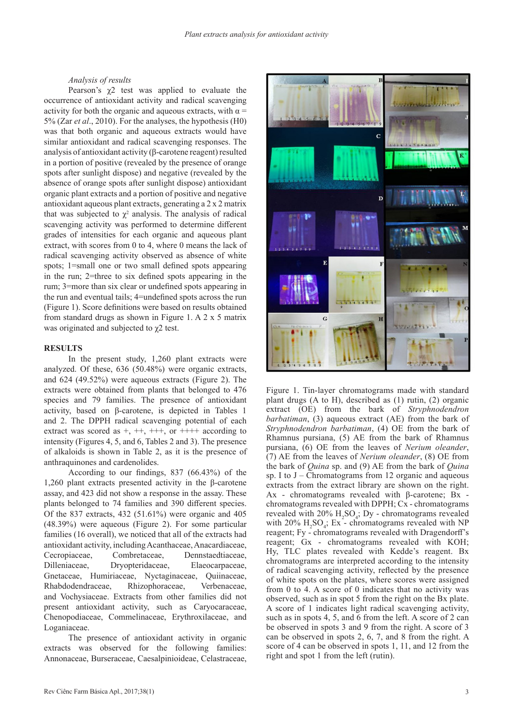# *Analysis of results*

Pearson's  $\chi$ 2 test was applied to evaluate the occurrence of antioxidant activity and radical scavenging activity for both the organic and aqueous extracts, with  $\alpha$  = 5% (Zar *et al*., 2010). For the analyses, the hypothesis (H0) was that both organic and aqueous extracts would have similar antioxidant and radical scavenging responses. The analysis of antioxidant activity (β-carotene reagent) resulted in a portion of positive (revealed by the presence of orange spots after sunlight dispose) and negative (revealed by the absence of orange spots after sunlight dispose) antioxidant organic plant extracts and a portion of positive and negative antioxidant aqueous plant extracts, generating a 2 x 2 matrix that was subjected to  $\chi^2$  analysis. The analysis of radical scavenging activity was performed to determine different grades of intensities for each organic and aqueous plant extract, with scores from 0 to 4, where 0 means the lack of radical scavenging activity observed as absence of white spots; 1=small one or two small defined spots appearing in the run; 2=three to six defined spots appearing in the rum; 3=more than six clear or undefined spots appearing in the run and eventual tails; 4=undefined spots across the run (Figure 1). Score definitions were based on results obtained from standard drugs as shown in Figure 1. A 2 x 5 matrix was originated and subjected to χ2 test.

## **RESULTS**

In the present study, 1,260 plant extracts were analyzed. Of these, 636 (50.48%) were organic extracts, and 624 (49.52%) were aqueous extracts (Figure 2). The extracts were obtained from plants that belonged to 476 species and 79 families. The presence of antioxidant activity, based on β-carotene, is depicted in Tables 1 and 2. The DPPH radical scavenging potential of each extract was scored as  $+, ++, +++,$  or  $+++$  according to intensity (Figures 4, 5, and 6, Tables 2 and 3). The presence of alkaloids is shown in Table 2, as it is the presence of anthraquinones and cardenolides.

According to our findings, 837 (66.43%) of the 1,260 plant extracts presented activity in the β-carotene assay, and 423 did not show a response in the assay. These plants belonged to 74 families and 390 different species. Of the 837 extracts, 432 (51.61%) were organic and 405 (48.39%) were aqueous (Figure 2). For some particular families (16 overall), we noticed that all of the extracts had antioxidant activity, including Acanthaceae, Anacardiaceae, Cecropiaceae, Combretaceae, Dennstaedtiaceae, Dilleniaceae, Dryopteridaceae, Elaeocarpaceae, Gnetaceae, Humiriaceae, Nyctaginaceae, Quiinaceae, Rhabdodendraceae, Rhizophoraceae, Verbenaceae, and Vochysiaceae. Extracts from other families did not present antioxidant activity, such as Caryocaraceae, Chenopodiaceae, Commelinaceae, Erythroxilaceae, and Loganiaceae.

The presence of antioxidant activity in organic extracts was observed for the following families: Annonaceae, Burseraceae, Caesalpinioideae, Celastraceae,



Figure 1. Tin-layer chromatograms made with standard plant drugs (A to H), described as (1) rutin, (2) organic extract (OE) from the bark of *Stryphnodendron barbatiman*, (3) aqueous extract (AE) from the bark of *Stryphnodendron barbatiman*, (4) OE from the bark of Rhamnus pursiana, (5) AE from the bark of Rhamnus pursiana, (6) OE from the leaves of *Nerium oleander*, (7) AE from the leaves of *Nerium oleander*, (8) OE from the bark of *Quina* sp. and (9) AE from the bark of *Quina*  sp. I to  $J$  – Chromatograms from 12 organic and aqueous extracts from the extract library are shown on the right. Ax - chromatograms revealed with β-carotene; Bx chromatograms revealed with DPPH; Cx - chromatograms revealed with  $20\%$   $H_2SO_4$ ; Dy - chromatograms revealed with  $20\%$  H<sub>2</sub>SO<sub>4</sub>; Ex - chromatograms revealed with NP reagent; Fy - chromatograms revealed with Dragendorff's reagent; Gx - chromatograms revealed with KOH; Hy, TLC plates revealed with Kedde's reagent. Bx chromatograms are interpreted according to the intensity of radical scavenging activity, reflected by the presence of white spots on the plates, where scores were assigned from 0 to 4. A score of 0 indicates that no activity was observed, such as in spot 5 from the right on the Bx plate. A score of 1 indicates light radical scavenging activity, such as in spots 4, 5, and 6 from the left. A score of 2 can be observed in spots 3 and 9 from the right. A score of 3 can be observed in spots 2, 6, 7, and 8 from the right. A score of 4 can be observed in spots 1, 11, and 12 from the right and spot 1 from the left (rutin).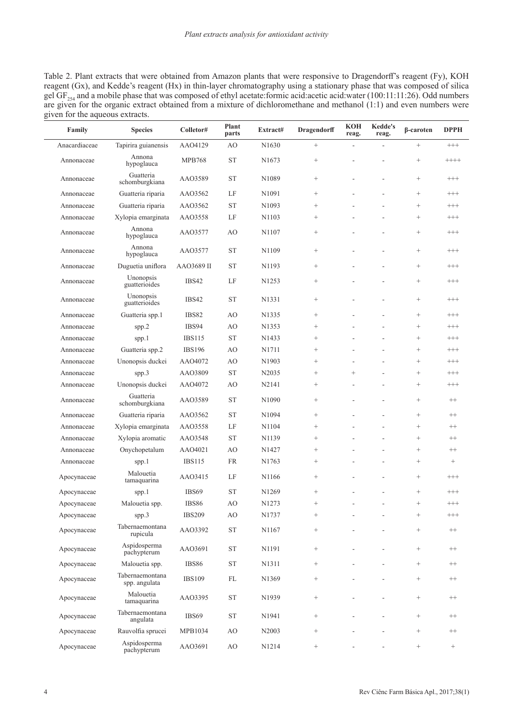Table 2. Plant extracts that were obtained from Amazon plants that were responsive to Dragendorff's reagent (Fy), KOH reagent (Gx), and Kedde's reagent (Hx) in thin-layer chromatography using a stationary phase that was composed of silica gel  $GF_{254}$  and a mobile phase that was composed of ethyl acetate:formic acid:acetic acid:water (100:11:11:26). Odd numbers are given for the organic extract obtained from a mixture of dichloromethane and methanol  $(1:1)$  and even numbers were given for the aqueous extracts.

| Family        | <b>Species</b>                   | Colletor#     | Plant<br>parts | Extract#          | <b>Dragendorff</b> | <b>KOH</b><br>reag. | <b>Kedde's</b><br>reag. | β-caroten       | <b>DPPH</b>     |
|---------------|----------------------------------|---------------|----------------|-------------------|--------------------|---------------------|-------------------------|-----------------|-----------------|
| Anacardiaceae | Tapirira guianensis              | AAO4129       | AO             | N <sub>1630</sub> | $^{+}$             |                     |                         | $^{+}$          | $^{+++}$        |
| Annonaceae    | Annona<br>hypoglauca             | <b>MPB768</b> | <b>ST</b>      | N <sub>1673</sub> | $^{+}$             |                     |                         | $^{+}$          | $+++++$         |
| Annonaceae    | Guatteria<br>schomburgkiana      | AA03589       | <b>ST</b>      | N1089             | $^{+}$             |                     |                         | $^{+}$          | $^{+++}$        |
| Annonaceae    | Guatteria riparia                | AA03562       | LF             | N1091             |                    |                     |                         |                 | $^{+++}$        |
| Annonaceae    | Guatteria riparia                | AA03562       | <b>ST</b>      | N1093             |                    |                     |                         |                 | $^{+++}$        |
| Annonaceae    | Xylopia emarginata               | AAO3558       | LF             | N1103             |                    |                     |                         |                 | $^{+++}$        |
| Annonaceae    | Annona<br>hypoglauca             | AAO3577       | AO             | N1107             |                    |                     |                         |                 | $^{+++}$        |
| Annonaceae    | Annona<br>hypoglauca             | AA03577       | <b>ST</b>      | N1109             |                    |                     |                         | $\! + \!\!\!\!$ | $^{+++}$        |
| Annonaceae    | Duguetia uniflora                | AAO3689 II    | <b>ST</b>      | N1193             |                    |                     |                         | $\! + \!\!\!\!$ | $^{+++}$        |
| Annonaceae    | Unonopsis<br>guatterioides       | IBS42         | LF             | N <sub>1253</sub> |                    |                     |                         | $\! + \!\!\!\!$ | $^{+++}$        |
| Annonaceae    | Unonopsis<br>guatterioides       | IBS42         | <b>ST</b>      | N1331             |                    |                     |                         | $\! + \!\!\!\!$ | $^{+++}$        |
| Annonaceae    | Guatteria spp.1                  | <b>IBS82</b>  | AO             | N1335             |                    |                     |                         | $\! + \!\!\!\!$ | $^{+++}$        |
| Annonaceae    | spp.2                            | IBS94         | AO             | N1353             | $^{+}$             |                     |                         |                 | $^{+++}$        |
| Annonaceae    | spp.1                            | <b>IBS115</b> | <b>ST</b>      | N <sub>1433</sub> | $^{+}$             |                     |                         | $\! + \!\!\!\!$ | $^{+++}$        |
| Annonaceae    | Guatteria spp.2                  | <b>IBS196</b> | AO             | N1711             |                    |                     |                         | $\! + \!\!\!\!$ | $^{+++}$        |
| Annonaceae    | Unonopsis duckei                 | AAO4072       | AO             | N1903             |                    |                     |                         |                 | $^{+++}$        |
| Annonaceae    | spp.3                            | AAO3809       | <b>ST</b>      | N2035             |                    | $^{+}$              |                         | $\! + \!\!\!\!$ | $^{+++}$        |
| Annonaceae    | Unonopsis duckei                 | AAO4072       | AO             | N2141             |                    |                     |                         | $\! + \!\!\!\!$ | $^{+++}$        |
| Annonaceae    | Guatteria<br>schomburgkiana      | AA03589       | <b>ST</b>      | N1090             |                    |                     |                         |                 | $^{++}$         |
| Annonaceae    | Guatteria riparia                | AA03562       | <b>ST</b>      | N1094             |                    |                     |                         | $\! + \!\!\!\!$ | $^{++}$         |
| Annonaceae    | Xylopia emarginata               | AA03558       | LF             | N1104             | $^{+}$             |                     |                         | $^{+}$          | $^{++}$         |
| Annonaceae    | Xylopia aromatic                 | AAO3548       | <b>ST</b>      | N1139             | $^{+}$             |                     |                         | $^{+}$          | $^{++}$         |
| Annonaceae    | Onychopetalum                    | AAO4021       | AO             | N1427             | $^{+}$             |                     |                         | $\! + \!\!\!\!$ | $^{++}$         |
| Annonaceae    | spp.1                            | <b>IBS115</b> | <b>FR</b>      | N1763             | $^{+}$             |                     |                         |                 | $^{+}$          |
| Apocynaceae   | Malouetia<br>tamaquarina         | AAO3415       | LF             | N1166             |                    |                     | ä,                      |                 | $^{+++}$        |
| Apocynaceae   | spp.1                            | IBS69         | <b>ST</b>      | N1269             | $^{+}$             |                     |                         |                 | $^{+++}$        |
| Apocynaceae   | Malouetia spp.                   | <b>IBS86</b>  | AO             | N <sub>1273</sub> | $^{+}$             | ÷                   | ÷                       |                 | $^{+++}$        |
| Apocynaceae   | spp.3                            | <b>IBS209</b> | AO             | N1737             | $^{+}$             |                     |                         | $\! + \!\!\!\!$ | $^{+++}$        |
| Apocynaceae   | Tabernaemontana<br>rupicula      | AAO3392       | <b>ST</b>      | N1167             | $\! + \!\!\!\!$    |                     |                         |                 | $^{++}$         |
| Apocynaceae   | Aspidosperma<br>pachypterum      | AAO3691       | ST             | N1191             | $\! + \!\!\!\!$    |                     |                         |                 | $^{++}$         |
| Apocynaceae   | Malouetia spp.                   | <b>IBS86</b>  | ${\rm ST}$     | N1311             | $\! + \!\!\!\!$    |                     |                         | $\! + \!\!\!\!$ | $++$            |
| Apocynaceae   | Tabernaemontana<br>spp. angulata | <b>IBS109</b> | FL             | N1369             | $\! + \!\!\!\!$    |                     |                         | $^{+}$          | $^{++}$         |
| Apocynaceae   | Malouetia<br>tamaquarina         | AAO3395       | ST             | N1939             | $\! + \!\!\!\!$    |                     |                         | $\! + \!\!\!\!$ | $++$            |
| Apocynaceae   | Tabernaemontana<br>angulata      | IBS69         | ${\rm ST}$     | N1941             | $\! + \!\!\!\!$    |                     |                         | $\! + \!\!\!\!$ | $++$            |
| Apocynaceae   | Rauvolfia sprucei                | MPB1034       | AO             | N2003             |                    |                     |                         |                 | $^{++}$         |
| Apocynaceae   | Aspidosperma<br>pachypterum      | AAO3691       | AO             | N1214             | $\qquad \qquad +$  |                     |                         | $\! + \!\!\!\!$ | $\! + \!\!\!\!$ |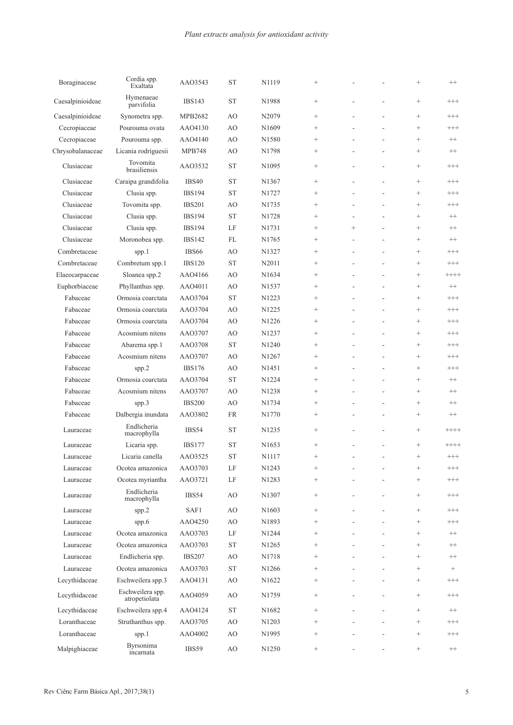| Boraginaceae     | Cordia spp.<br>Exaltata           | AAO3543           | <b>ST</b>  | N1119             |                 |        |    | $^{+}$            | $++$              |
|------------------|-----------------------------------|-------------------|------------|-------------------|-----------------|--------|----|-------------------|-------------------|
| Caesalpinioideae | Hymenaeae<br>parvifolia           | <b>IBS143</b>     | <b>ST</b>  | N1988             |                 |        |    | $^{+}$            | $^{+++}$          |
| Caesalpinioideae | Synometra spp.                    | MPB2682           | AO         | N2079             |                 |        |    | $^{+}$            | $^{+++}$          |
| Cecropiaceae     | Pourouma ovata                    | AAO4130           | AO         | N1609             |                 |        |    | $^{+}$            | $^{+++}$          |
| Cecropiaceae     | Pourouma spp.                     | AAO4140           | AO         | N1580             |                 |        |    | $^{+}$            | $^{++}$           |
| Chrysobalanaceae | Licania rodriguesii               | <b>MPB748</b>     | AO         | N1798             |                 |        | ٠  |                   | $^{++}$           |
| Clusiaceae       | Tovomita<br>brasiliensis          | AA03532           | <b>ST</b>  | N1095             | $^+$            |        |    | $^{+}$            | $^{+++}$          |
| Clusiaceae       | Caraipa grandifolia               | <b>IBS40</b>      | <b>ST</b>  | N1367             |                 |        |    |                   | $^{+++}$          |
| Clusiaceae       | Clusia spp.                       | <b>IBS194</b>     | <b>ST</b>  | N1727             |                 |        | L, |                   | $^{+++}$          |
| Clusiaceae       | Tovomita spp.                     | <b>IBS201</b>     | AO         | N1735             |                 |        |    | $^{+}$            | $^{+++}$          |
| Clusiaceae       | Clusia spp.                       | <b>IBS194</b>     | <b>ST</b>  | N1728             |                 | ä,     | L, | $^{+}$            | $^{++}$           |
| Clusiaceae       | Clusia spp.                       | <b>IBS194</b>     | LF         | N1731             |                 | $^{+}$ |    | $^{+}$            | $^{++}$           |
| Clusiaceae       | Moronobea spp.                    | <b>IBS142</b>     | FL         | N1765             |                 | L,     | L, | $\! + \!\!\!\!$   | $^{++}$           |
| Combretaceae     | spp.1                             | IBS <sub>66</sub> | AO         | N1327             |                 | L,     | L, | $\! + \!\!\!\!$   | $^{+++}$          |
| Combretaceae     | Combretum spp.1                   | <b>IBS120</b>     | <b>ST</b>  | N2011             |                 |        | L, | $^{+}$            | $^{+++}$          |
| Elaeocarpaceae   | Sloanea spp.2                     | AAO4166           | AO         | N1634             |                 |        | ÷, | $^{+}$            | $++++$            |
| Euphorbiaceae    | Phyllanthus spp.                  | AAO4011           | AO         | N1537             |                 |        | L, | $\! + \!\!\!\!$   | $^{++}$           |
| Fabaceae         | Ormosia coarctata                 | AAO3704           | <b>ST</b>  | N1223             |                 |        |    | $^{+}$            | $^{+++}$          |
| Fabaceae         | Ormosia coarctata                 | AAO3704           | AO         | N1225             | $^+$            |        |    | $^{+}$            | $^{+++}$          |
| Fabaceae         | Ormosia coarctata                 | AAO3704           | AO         | N1226             | $^+$            |        |    | $^{+}$            | $^{+++}$          |
| Fabaceae         | Acosmium nitens                   | AAO3707           | AO         | N1237             |                 |        | L, | $^{+}$            | $^{+++}$          |
| Fabaceae         | Abarema spp.1                     | AAO3708           | <b>ST</b>  | N1240             |                 |        | L, | $^{+}$            | $^{+++}$          |
| Fabaceae         | Acosmium nitens                   | AAO3707           | AO         | N1267             | $^+$            |        | L, | $^{+}$            | $^{+++}$          |
| Fabaceae         | spp.2                             | <b>IBS176</b>     | AO         | N1451             | $\! + \!\!\!\!$ | L,     | ä, |                   | $^{+++}$          |
| Fabaceae         | Ormosia coarctata                 | AAO3704           | <b>ST</b>  | N1224             | $\! + \!\!\!\!$ |        |    | $\! + \!\!\!\!$   | $^{++}$           |
| Fabaceae         | Acosmium nitens                   | AAO3707           | AO         | N1238             |                 | L,     | L, | $\! + \!\!\!\!$   | $^{++}$           |
| Fabaceae         | spp.3                             | <b>IBS200</b>     | AO         | N1734             |                 |        |    | $^{+}$            | $^{++}$           |
| Fabaceae         | Dalbergia inundata                | AAO3802           | <b>FR</b>  | N1770             | $^+$            | ٠      | ÷, | $\! + \!\!\!\!$   | $^{++}$           |
| Lauraceae        | Endlicheria<br>macrophylla        | IBS54             | <b>ST</b>  | N1235             |                 |        | L, | $^{+}$            | $++++$            |
| Lauraceae        | Licaria spp.                      | <b>IBS177</b>     | <b>ST</b>  | N1653             |                 |        |    | $^{+}$            | $++++$            |
| Lauraceae        | Licaria canella                   | AA03525           | <b>ST</b>  | N1117             |                 | ÷,     | ÷  | $\! + \!\!\!\!$   | $^{+++}$          |
| Lauraceae        | Ocotea amazonica                  | AAO3703           | $\rm LF$   | N1243             |                 |        |    | $\qquad \qquad +$ | $^{+++}$          |
| Lauraceae        | Ocotea myriantha                  | AAO3721           | LF         | N1283             | $^{+}$          |        |    | $^{+}$            | $^{+++}$          |
| Lauraceae        | Endlicheria<br>macrophylla        | IBS54             | AO         | N1307             |                 |        |    | $\! + \!\!\!\!$   | $^{+++}$          |
| Lauraceae        | spp.2                             | SAF1              | AO         | N1603             |                 |        |    | $\! + \!\!\!\!$   | $^{+++}$          |
| Lauraceae        | spp.6                             | AAO4250           | AO         | N1893             |                 |        |    | $\qquad \qquad +$ | $^{+++}$          |
| Lauraceae        | Ocotea amazonica                  | AAO3703           | LF         | N1244             |                 |        |    | $\qquad \qquad +$ | $^{++}$           |
| Lauraceae        | Ocotea amazonica                  | AAO3703           | ${\rm ST}$ | N1265             |                 |        |    | $\qquad \qquad +$ | $^{++}$           |
|                  |                                   |                   |            |                   | $\! + \!\!\!\!$ |        |    |                   |                   |
| Lauraceae        | Endlicheria spp.                  | <b>IBS207</b>     | AO         | N1718             |                 |        |    | $\! + \!\!\!\!$   | $^{++}\,$         |
| Lauraceae        | Ocotea amazonica                  | AAO3703           | ${\rm ST}$ | N1266             |                 |        |    | $\! + \!\!\!\!$   | $\qquad \qquad +$ |
| Lecythidaceae    | Eschweilera spp.3                 | AAO4131           | AO         | N <sub>1622</sub> |                 |        | ÷  | $\! + \!\!\!\!$   | $^{+++}$          |
| Lecythidaceae    | Eschweilera spp.<br>atropetiolata | AAO4059           | AO         | N1759             | $^+$            |        |    | $^{+}$            | $^{+++}$          |
| Lecythidaceae    | Eschweilera spp.4                 | AAO4124           | <b>ST</b>  | N1682             |                 |        | ÷, | $\qquad \qquad +$ | $^{++}$           |
| Loranthaceae     | Struthanthus spp.                 | AAO3705           | AO         | N1203             |                 |        | ä, | $\! + \!\!\!\!$   | $^{+++}$          |
| Loranthaceae     | spp.1                             | AAO4002           | AO         | N1995             | $^{+}$          |        |    | $^{+}$            | $^{+++}$          |
| Malpighiaceae    | Byrsonima<br>incarnata            | IBS59             | AO         | N1250             | $^+$            |        |    | $\qquad \qquad +$ | $^{++}\,$         |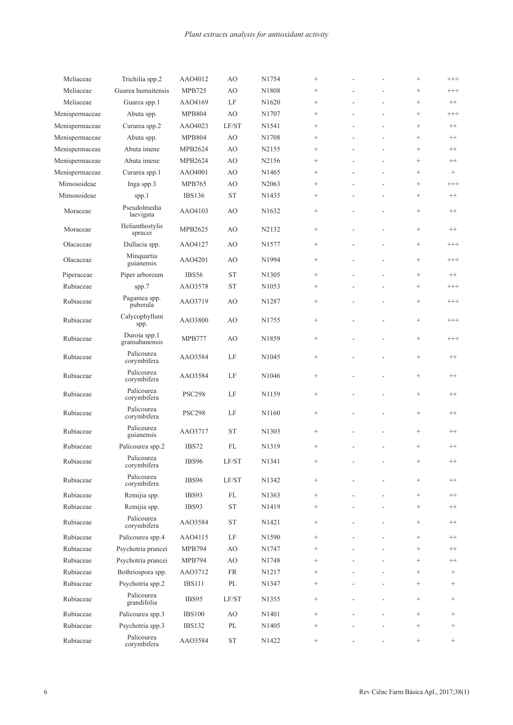| Meliaceae      | Trichilia spp.2                | AAO4012       | AO                   | N1754             | $^{+}$          |   | $^{+}$            | $^{+++}$          |
|----------------|--------------------------------|---------------|----------------------|-------------------|-----------------|---|-------------------|-------------------|
| Meliaceae      | Guarea humaitensis             | <b>MPB725</b> | AO                   | N1808             | $^{+}$          |   | $^{+}$            | $^{+++}$          |
| Meliaceae      | Guarea spp.1                   | AAO4169       | LF                   | N1620             | $\! + \!\!\!\!$ |   | $\! + \!\!\!\!$   | $^{++}$           |
| Menispermaceae | Abuta spp.                     | <b>MPB804</b> | AO                   | N1707             |                 |   | $\! + \!\!\!\!$   | $^{+++}$          |
| Menispermaceae | Curarea spp.2                  | AAO4023       | LF/ST                | N1541             |                 |   | $^{+}$            | $^{++}$           |
| Menispermaceae | Abuta spp.                     | <b>MPB804</b> | AO                   | N1708             | $\! + \!\!\!\!$ |   | $\qquad \qquad +$ | $^{++}$           |
| Menispermaceae | Abuta imene                    | MPB2624       | AO                   | N2155             | $^{+}$          |   | $\! + \!\!\!\!$   | $^{++}$           |
| Menispermaceae | Abuta imene                    | MPB2624       | AO                   | N2156             |                 |   | $\! + \!\!\!\!$   | $^{++}$           |
| Menispermaceae | Curarea spp.1                  | AAO4001       | AO                   | N1465             |                 |   | $^{+}$            | $+$               |
| Mimosoideae    | Inga spp.3                     | <b>MPB765</b> | AO                   | N2063             |                 |   | $\! + \!\!\!\!$   | $^{+++}$          |
| Mimosoideae    | spp.1                          | <b>IBS136</b> | <b>ST</b>            | N1435             |                 |   | $\! + \!\!\!\!$   | $^{++}$           |
| Moraceae       | Pseudolmedia<br>laevigata      | AAO4103       | AO                   | N <sub>1632</sub> |                 |   | $\! + \!\!\!\!$   | $^{++}$           |
| Moraceae       | Helianthostylis<br>sprucei     | MPB2625       | AO                   | N2132             |                 |   | $\! + \!\!\!\!$   | $^{++}$           |
| Olacaceae      | Dullacia spp.                  | AAO4127       | AO                   | N1577             | $\! + \!\!\!\!$ |   | $\qquad \qquad +$ | $^{+++}$          |
| Olacaceae      | Minquartia<br>guianensis       | AAO4201       | AO                   | N1994             |                 |   | $^{+}$            | $^{+++}$          |
| Piperaceae     | Piper arboreum                 | IBS56         | <b>ST</b>            | N1305             |                 |   | $\! + \!\!\!\!$   | $^{++}$           |
| Rubiaceae      | spp.7                          | AA03578       | <b>ST</b>            | N <sub>1053</sub> | $\! + \!\!\!\!$ |   | $^{+}$            | $^{+++}$          |
| Rubiaceae      | Pagamea spp.<br>puberula       | AA03719       | AO                   | N1287             |                 |   | $\! + \!\!\!\!$   | $^{+++}$          |
| Rubiaceae      | Calycophyllum<br>spp.          | AAO3800       | AO                   | N1755             | $\! + \!\!\!\!$ |   | $\! + \!\!\!\!$   | $^{+++}$          |
| Rubiaceae      | Duroia spp.1<br>gransabanensis | MPB777        | AO                   | N1859             | $^+$            |   | $^{+}$            | $^{+++}$          |
| Rubiaceae      | Palicourea<br>corymbifera      | AA03584       | LF                   | N <sub>1045</sub> |                 |   | $\! + \!\!\!\!$   | $^{++}$           |
| Rubiaceae      | Palicourea<br>corymbifera      | AAO3584       | LF                   | N1046             |                 |   | $\! + \!\!\!\!$   | $^{++}$           |
| Rubiaceae      | Palicourea<br>corymbifera      | <b>PSC298</b> | LF                   | N1159             |                 |   | $^{+}$            | $^{++}$           |
| Rubiaceae      | Palicourea<br>corymbifera      | <b>PSC298</b> | LF                   | N1160             |                 |   | $\! + \!\!\!\!$   | $^{++}$           |
| Rubiaceae      | Palicourea<br>guianensis       | AA03717       | <b>ST</b>            | N1303             | $^+$            |   | $^{+}$            | $^{++}$           |
| Rubiaceae      | Palicourea spp.2               | IBS72         | FL                   | N1319             | $^{+}$          |   | $^{+}$            | $^{++}$           |
| Rubiaceae      | Palicourea<br>corymbifera      | IBS96         | $\rm LF/ST$          | N1341             | $^{+}$          |   | $^{+}$            | $^{++}$           |
| Rubiaceae      | Palicourea<br>corymbifera      | IBS96         | LF/ST                | N1342             | $^+$            |   | $\qquad \qquad +$ | $++$              |
| Rubiaceae      | Remijia spp.                   | IBS93         | $\mathcal{FL}% _{0}$ | N1363             | $\! + \!\!\!\!$ |   | $\qquad \qquad +$ | $^{++}\,$         |
| Rubiaceae      | Remijia spp.                   | IBS93         | <b>ST</b>            | N1419             | $\! + \!\!\!\!$ |   | $\qquad \qquad +$ | $++$              |
| Rubiaceae      | Palicourea<br>corymbifera      | AAO3584       | $\operatorname{ST}$  | N1421             |                 |   | $^{+}$            | $^{++}\,$         |
| Rubiaceae      | Palicourea spp.4               | AAO4115       | LF                   | N1590             | $\! + \!\!\!\!$ |   | $\qquad \qquad +$ | $^{++}\,$         |
| Rubiaceae      | Psychotria prancei             | <b>MPB794</b> | AO                   | N1747             | $^+$            |   | $^{+}$            | $^{++}$           |
| Rubiaceae      | Psychotria prancei             | <b>MPB794</b> | AO                   | N1748             | $^{+}$          |   | $^{+}$            | $^{++}$           |
| Rubiaceae      | Bothriospora spp.              | AAO3712       | FR                   | N1217             | $^{+}$          |   | $^{+}$            | $^{+}$            |
| Rubiaceae      | Psychotria spp.2               | <b>IBS111</b> | $\rm PL$             | N1347             | $\! + \!\!\!\!$ |   | $\! +$            | $^{+}$            |
| Rubiaceae      | Palicourea<br>grandifolia      | IBS95         | LF/ST                | N1355             | $\! + \!\!\!\!$ | ÷ | $\qquad \qquad +$ | $\! + \!\!\!\!$   |
| Rubiaceae      | Palicourea spp.3               | <b>IBS100</b> | AO                   | N1401             | $\! + \!\!\!\!$ |   | $\qquad \qquad +$ | $+$               |
| Rubiaceae      | Psychotria spp.3               | <b>IBS132</b> | PL                   | N1405             |                 |   | $\! + \!\!\!\!$   | $\qquad \qquad +$ |
| Rubiaceae      | Palicourea<br>corymbifera      | AAO3584       | ${\rm ST}$           | N1422             |                 |   | $+$               | $\qquad \qquad +$ |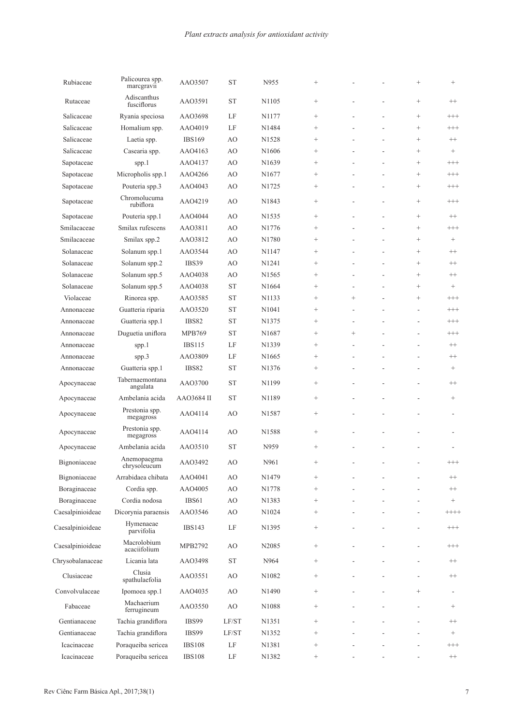| Rubiaceae        | Palicourea spp.<br>marcgravii | AAO3507       | <b>ST</b> | N955               |                 |                          |                          | $\ddot{}$      | $^{+}$                   |
|------------------|-------------------------------|---------------|-----------|--------------------|-----------------|--------------------------|--------------------------|----------------|--------------------------|
| Rutaceae         | Adiscanthus<br>fusciflorus    | AA03591       | <b>ST</b> | N1105              | $^+$            |                          |                          | $^{+}$         | $^{++}$                  |
| Salicaceae       | Ryania speciosa               | AAO3698       | LF        | N1177              |                 |                          |                          | $\ddot{}$      | $^{+++}$                 |
| Salicaceae       | Homalium spp.                 | AAO4019       | LF        | N1484              |                 |                          |                          | $\ddot{}$      | $^{+++}$                 |
| Salicaceae       | Laetia spp.                   | <b>IBS169</b> | AO        | N1528              | $^+$            |                          | ÷.                       | $\ddot{}$      | $^{++}$                  |
| Salicaceae       | Casearia spp.                 | AAO4163       | AO        | N1606              |                 |                          | ÷,                       | $^{+}$         | $\! + \!\!\!\!$          |
| Sapotaceae       | spp.1                         | AAO4137       | AO        | N1639              | $\! + \!\!\!\!$ |                          |                          | $^{+}$         | $^{+++}$                 |
| Sapotaceae       | Micropholis spp.1             | AAO4266       | AO        | N <sub>1677</sub>  |                 |                          |                          | $^{+}$         | $^{+++}$                 |
| Sapotaceae       | Pouteria spp.3                | AAO4043       | AO        | N1725              |                 |                          |                          | $^{+}$         | $^{+++}$                 |
| Sapotaceae       | Chromolucuma<br>rubiflora     | AAO4219       | AO        | N1843              |                 |                          |                          | $\ddot{}$      | $^{+++}$                 |
| Sapotaceae       | Pouteria spp.1                | AAO4044       | AO        | N <sub>1535</sub>  |                 |                          |                          | $\ddot{}$      | $^{++}$                  |
| Smilacaceae      | Smilax rufescens              | AAO3811       | AO        | N1776              |                 |                          |                          | $\ddot{}$      | $^{+++}$                 |
| Smilacaceae      | Smilax spp.2                  | AAO3812       | AO        | N1780              |                 |                          | ÷,                       | $^{+}$         | $\! + \!\!\!\!$          |
| Solanaceae       | Solanum spp.1                 | AA03544       | AO        | N1147              |                 |                          | ÷,                       | $\ddot{}$      | $^{++}$                  |
| Solanaceae       | Solanum spp.2                 | IBS39         | AO        | N <sub>1241</sub>  |                 |                          | ÷,                       | $^{+}$         | $^{++}$                  |
| Solanaceae       | Solanum spp.5                 | AAO4038       | AO        | N1565              |                 |                          |                          | $\ddot{}$      | $^{++}$                  |
| Solanaceae       | Solanum spp.5                 | AAO4038       | <b>ST</b> | N1664              |                 |                          |                          | $^{+}$         | $\! + \!\!\!\!$          |
| Violaceae        | Rinorea spp.                  | AA03585       | <b>ST</b> | N1133              |                 | $^{+}$                   |                          | $\ddot{}$      | $^{+++}$                 |
| Annonaceae       | Guatteria riparia             | AAO3520       | <b>ST</b> | N1041              | $^{+}$          | L,                       |                          | ÷,             | $^{+++}$                 |
| Annonaceae       | Guatteria spp.1               | <b>IBS82</b>  | <b>ST</b> | N1375              |                 | L,                       |                          | L,             | $^{+++}$                 |
| Annonaceae       | Duguetia uniflora             | <b>MPB769</b> | <b>ST</b> | N1687              | $\! + \!\!\!\!$ | $^{+}$                   |                          | L,             | $^{+++}$                 |
| Annonaceae       | spp.1                         | <b>IBS115</b> | LF        | N1339              |                 |                          |                          | L,             | $^{++}$                  |
| Annonaceae       | spp.3                         | AAO3809       | LF        | N1665              |                 |                          |                          | L,             | $^{++}$                  |
| Annonaceae       | Guatteria spp.1               | <b>IBS82</b>  | <b>ST</b> | N <sub>1376</sub>  |                 | ٠                        |                          | $\overline{a}$ | $\! +$                   |
| Apocynaceae      | Tabernaemontana<br>angulata   | AAO3700       | <b>ST</b> | N1199              |                 |                          |                          |                | $^{++}$                  |
| Apocynaceae      | Ambelania acida               | AAO3684 II    | <b>ST</b> | N1189              |                 |                          |                          |                | $\! + \!\!\!\!$          |
| Apocynaceae      | Prestonia spp.<br>megagross   | AAO4114       | AO        | N1587              | $^+$            |                          |                          |                | $\overline{\phantom{a}}$ |
| Apocynaceae      | Prestonia spp.<br>megagross   | AAO4114       | AO        | N1588              |                 |                          |                          |                |                          |
| Apocynaceae      | Ambelania acida               | AA03510       | <b>ST</b> | N959               | $^{+}$          |                          |                          |                |                          |
| Bignoniaceae     | Anemopaegma<br>chrysoleucum   | AAO3492       | AO        | N961               | $^{+}$          | $\overline{\phantom{a}}$ | $\overline{\phantom{a}}$ |                | $^{+++}$                 |
| Bignoniaceae     | Arrabidaea chibata            | AAO4041       | AO        | N1479              |                 |                          |                          |                | $^{++}\,$                |
| Boraginaceae     | Cordia spp.                   | AAO4005       | AO        | N1778              |                 |                          |                          |                | $^{++}\,$                |
| Boraginaceae     | Cordia nodosa                 | IBS61         | AO        | N1383              | $\! + \!\!\!\!$ |                          |                          |                | $+$                      |
| Caesalpinioideae | Dicorynia paraensis           | AAO3546       | AO        | N1024              |                 |                          |                          |                | $++++$                   |
| Caesalpinioideae | Hymenaeae<br>parvifolia       | <b>IBS143</b> | LF        | N <sub>1</sub> 395 | $^+$            |                          |                          |                | $^{+++}$                 |
| Caesalpinioideae | Macrolobium<br>acaciifolium   | MPB2792       | AO        | N2085              |                 |                          |                          |                | $^{+++}$                 |
| Chrysobalanaceae | Licania lata                  | AAO3498       | <b>ST</b> | N964               |                 |                          |                          |                | $^{++}\,$                |
| Clusiaceae       | Clusia<br>spathulaefolia      | AAO3551       | AO        | N1082              | $\! + \!\!\!\!$ |                          |                          |                | $^{++}$                  |
| Convolvulaceae   | Ipomoea spp.1                 | AAO4035       | AO        | N1490              |                 |                          |                          | $^{+}$         | $\overline{\phantom{a}}$ |
| Fabaceae         | Machaerium<br>ferrugineum     | AAO3550       | AO        | N1088              |                 |                          |                          |                | $^{+}$                   |
| Gentianaceae     | Tachia grandiflora            | IBS99         | LF/ST     | N1351              |                 |                          |                          | ÷,             | $^{++}$                  |
| Gentianaceae     | Tachia grandiflora            | IBS99         | LF/ST     | N1352              |                 |                          |                          |                | $\! + \!\!\!\!$          |
| Icacinaceae      | Poraqueiba sericea            | <b>IBS108</b> | LF        | N <sub>1381</sub>  |                 |                          |                          |                | $^{+++}$                 |
| Icacinaceae      | Poraqueiba sericea            | <b>IBS108</b> | $\rm LF$  | N1382              | $\! + \!\!\!\!$ |                          |                          |                | $^{++}\,$                |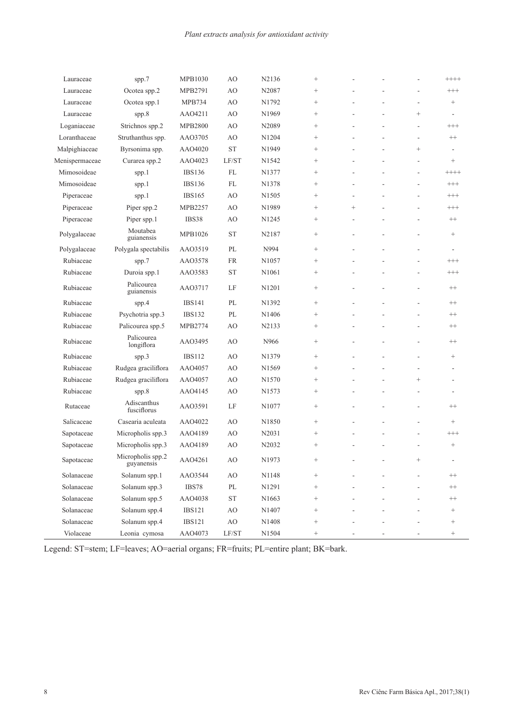| Lauraceae      | spp.7                           | <b>MPB1030</b> | AO          | N2136             | $^{+}$            |        |    |                 | $+++++$                  |
|----------------|---------------------------------|----------------|-------------|-------------------|-------------------|--------|----|-----------------|--------------------------|
| Lauraceae      | Ocotea spp.2                    | MPB2791        | AO          | N2087             | $^{+}$            |        |    | ÷,              | $^{+++}$                 |
| Lauraceae      | Ocotea spp.1                    | <b>MPB734</b>  | AO          | N1792             | $^+$              |        |    | ÷,              | $\qquad \qquad +$        |
| Lauraceae      | spp.8                           | AAO4211        | AO          | N1969             | $\! + \!\!\!\!$   |        |    | $^{+}$          |                          |
| Loganiaceae    | Strichnos spp.2                 | <b>MPB2800</b> | AO          | N2089             |                   |        |    | ÷,              | $^{+++}$                 |
| Loranthaceae   | Struthanthus spp.               | AAO3705        | AO          | N1204             |                   |        |    | ÷,              | $^{++}$                  |
| Malpighiaceae  | Byrsonima spp.                  | AAO4020        | <b>ST</b>   | N1949             |                   |        |    | $\! + \!\!\!\!$ | $\overline{\phantom{a}}$ |
| Menispermaceae | Curarea spp.2                   | AAO4023        | LF/ST       | N1542             | $^{+}$            |        |    | ÷,              | $\! + \!\!\!\!$          |
| Mimosoideae    | spp.1                           | <b>IBS136</b>  | $\rm FL$    | N1377             |                   |        |    | ÷,              | $++++$                   |
| Mimosoideae    | spp.1                           | <b>IBS136</b>  | $\rm FL$    | N1378             |                   |        |    | ÷,              | $^{+++}$                 |
| Piperaceae     | spp.1                           | <b>IBS165</b>  | AO          | N1505             |                   | ÷.     |    |                 | $^{+++}$                 |
| Piperaceae     | Piper spp.2                     | MPB2257        | AO          | N1989             |                   | $^{+}$ |    | ÷,              | $^{+++}$                 |
| Piperaceae     | Piper spp.1                     | IBS38          | AO          | N <sub>1245</sub> |                   |        |    | ÷,              | $++$                     |
| Polygalaceae   | Moutabea<br>guianensis          | MPB1026        | <b>ST</b>   | N2187             |                   | L,     | L, | ÷,              | $^+$                     |
| Polygalaceae   | Polygala spectabilis            | AAO3519        | PL          | N994              | $^{+}$            |        |    | ÷,              |                          |
| Rubiaceae      | spp.7                           | AA03578        | <b>FR</b>   | N1057             |                   |        |    | ÷,              | $^{+++}$                 |
| Rubiaceae      | Duroia spp.1                    | AAO3583        | <b>ST</b>   | N1061             |                   |        |    | ÷,              | $^{+++}$                 |
| Rubiaceae      | Palicourea<br>guianensis        | AAO3717        | LF          | N1201             | $\! + \!\!\!\!$   |        |    | ÷,              | $^{++}$                  |
| Rubiaceae      | spp.4                           | <b>IBS141</b>  | PL          | N1392             |                   |        |    | ÷,              | $^{++}$                  |
| Rubiaceae      | Psychotria spp.3                | <b>IBS132</b>  | PL          | N1406             |                   |        |    |                 | $++$                     |
| Rubiaceae      | Palicourea spp.5                | MPB2774        | AO          | N2133             | $^{+}$            |        |    | $\overline{a}$  | $^{++}$                  |
| Rubiaceae      | Palicourea<br>longiflora        | AAO3495        | AO          | N966              | $\! + \!\!\!\!$   |        |    | $\overline{a}$  | $++$                     |
| Rubiaceae      | spp.3                           | <b>IBS112</b>  | AO          | N1379             | $\! + \!\!\!\!$   |        |    | ÷,              | $^+$                     |
| Rubiaceae      | Rudgea graciliflora             | AAO4057        | AO          | N1569             | $^{+}$            |        |    |                 | $\overline{\phantom{a}}$ |
| Rubiaceae      | Rudgea graciliflora             | AAO4057        | AO          | N1570             |                   |        |    | $^{+}$          |                          |
| Rubiaceae      | spp.8                           | AAO4145        | AO          | N1573             |                   |        |    |                 |                          |
| Rutaceae       | Adiscanthus<br>fusciflorus      | AAO3591        | LF          | N1077             | $\! + \!\!\!\!$   |        |    | ÷,              | $^{++}$                  |
| Salicaceae     | Casearia aculeata               | AAO4022        | AO          | N1850             |                   |        |    | ÷,              | $\! + \!\!\!\!$          |
| Sapotaceae     | Micropholis spp.3               | AAO4189        | AO          | N2031             |                   |        |    |                 | $^{+++}$                 |
| Sapotaceae     | Micropholis spp.3               | AAO4189        | AO          | N2032             |                   |        |    |                 |                          |
| Sapotaceae     | Micropholis spp.2<br>guyanensis | AAO4261        | AO          | N1973             | $^+$              |        |    |                 |                          |
| Solanaceae     | Solanum spp.1                   | AAO3544        | AO          | N1148             | $\! + \!\!\!\!$   |        |    |                 | $++$                     |
| Solanaceae     | Solanum spp.3                   | IBS78          | $\rm PL$    | N1291             | $\! + \!\!\!\!$   |        |    |                 | $++$                     |
| Solanaceae     | Solanum spp.5                   | AAO4038        | ${\rm ST}$  | N1663             | $\! + \!\!\!\!$   |        |    |                 | $++$                     |
| Solanaceae     | Solanum spp.4                   | <b>IBS121</b>  | $\rm AO$    | N1407             | $\! + \!\!\!\!$   |        |    |                 | $\! + \!\!\!\!$          |
| Solanaceae     | Solanum spp.4                   | <b>IBS121</b>  | $\rm AO$    | N1408             | $\! + \!\!\!\!$   |        |    |                 | $^{+}$                   |
| Violaceae      | Leonia cymosa                   | AAO4073        | $\rm LF/ST$ | N1504             | $\qquad \qquad +$ |        |    |                 | $\qquad \qquad +$        |

Legend: ST=stem; LF=leaves; AO=aerial organs; FR=fruits; PL=entire plant; BK=bark.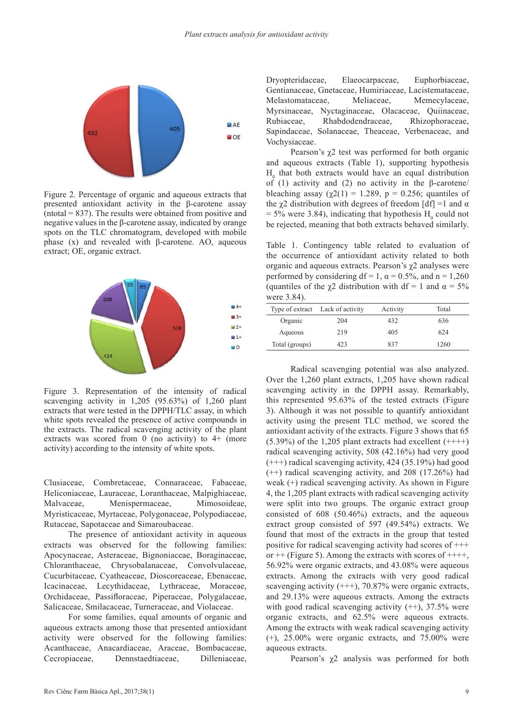

Figure 2. Percentage of organic and aqueous extracts that presented antioxidant activity in the β-carotene assay  $($ ntotal = 837). The results were obtained from positive and negative values in the β-carotene assay, indicated by orange spots on the TLC chromatogram, developed with mobile phase (x) and revealed with β-carotene. AO, aqueous extract; OE, organic extract.



Figure 3. Representation of the intensity of radical scavenging activity in 1,205 (95.63%) of 1,260 plant extracts that were tested in the DPPH/TLC assay, in which white spots revealed the presence of active compounds in the extracts. The radical scavenging activity of the plant extracts was scored from 0 (no activity) to 4+ (more activity) according to the intensity of white spots.

Clusiaceae, Combretaceae, Connaraceae, Fabaceae, Heliconiaceae, Lauraceae, Loranthaceae, Malpighiaceae, Malvaceae, Menispermaceae, Mimosoideae, Myristicaceae, Myrtaceae, Polygonaceae, Polypodiaceae, Rutaceae, Sapotaceae and Simaroubaceae.

The presence of antioxidant activity in aqueous extracts was observed for the following families: Apocynaceae, Asteraceae, Bignoniaceae, Boraginaceae, Chloranthaceae, Chrysobalanaceae, Convolvulaceae, Cucurbitaceae, Cyatheaceae, Dioscoreaceae, Ebenaceae, Icacinaceae, Lecythidaceae, Lythraceae, Moraceae, Orchidaceae, Passifloraceae, Piperaceae, Polygalaceae, Salicaceae, Smilacaceae, Turneraceae, and Violaceae.

For some families, equal amounts of organic and aqueous extracts among those that presented antioxidant activity were observed for the following families: Acanthaceae, Anacardiaceae, Araceae, Bombacaceae, Cecropiaceae, Dennstaedtiaceae, Dilleniaceae,

Dryopteridaceae, Elaeocarpaceae, Euphorbiaceae, Gentianaceae, Gnetaceae, Humiriaceae, Lacistemataceae, Melastomataceae, Meliaceae, Memecylaceae, Myrsinaceae, Nyctaginaceae, Olacaceae, Quiinaceae, Rubiaceae, Rhabdodendraceae, Rhizophoraceae, Sapindaceae, Solanaceae, Theaceae, Verbenaceae, and Vochysiaceae.

Pearson's  $\chi$ 2 test was performed for both organic and aqueous extracts (Table 1), supporting hypothesis  $H_0$  that both extracts would have an equal distribution of (1) activity and (2) no activity in the β-carotene/ bleaching assay ( $\chi$ 2(1) = 1.289, p = 0.256; quantiles of the  $\chi$ 2 distribution with degrees of freedom [df] =1 and  $\alpha$  $=$  5% were 3.84), indicating that hypothesis  $H_0$  could not be rejected, meaning that both extracts behaved similarly.

Table 1. Contingency table related to evaluation of the occurrence of antioxidant activity related to both organic and aqueous extracts. Pearson's  $\chi$ 2 analyses were performed by considering df = 1,  $\alpha$  = 0.5%, and n = 1,260 (quantiles of the  $\chi$ 2 distribution with df = 1 and  $\alpha$  = 5% were 3.84).

|                | Type of extract Lack of activity | Activity | Total |
|----------------|----------------------------------|----------|-------|
| Organic        | 204                              | 432      | 636   |
| Aqueous        | 219                              | 405      | 624   |
| Total (groups) | 423                              | 837      | 1260  |

Radical scavenging potential was also analyzed. Over the 1,260 plant extracts, 1,205 have shown radical scavenging activity in the DPPH assay. Remarkably, this represented 95.63% of the tested extracts (Figure 3). Although it was not possible to quantify antioxidant activity using the present TLC method, we scored the antioxidant activity of the extracts. Figure 3 shows that 65  $(5.39\%)$  of the 1,205 plant extracts had excellent  $(+++)$ radical scavenging activity, 508 (42.16%) had very good (+++) radical scavenging activity, 424 (35.19%) had good (++) radical scavenging activity, and 208 (17.26%) had weak (+) radical scavenging activity. As shown in Figure 4, the 1,205 plant extracts with radical scavenging activity were split into two groups. The organic extract group consisted of 608 (50.46%) extracts, and the aqueous extract group consisted of 597 (49.54%) extracts. We found that most of the extracts in the group that tested positive for radical scavenging activity had scores of +++ or  $++$  (Figure 5). Among the extracts with scores of  $+++$ , 56.92% were organic extracts, and 43.08% were aqueous extracts. Among the extracts with very good radical scavenging activity  $(++)$ , 70.87% were organic extracts, and 29.13% were aqueous extracts. Among the extracts with good radical scavenging activity  $(++)$ , 37.5% were organic extracts, and 62.5% were aqueous extracts. Among the extracts with weak radical scavenging activity  $(+)$ , 25.00% were organic extracts, and 75.00% were aqueous extracts.

Pearson's χ2 analysis was performed for both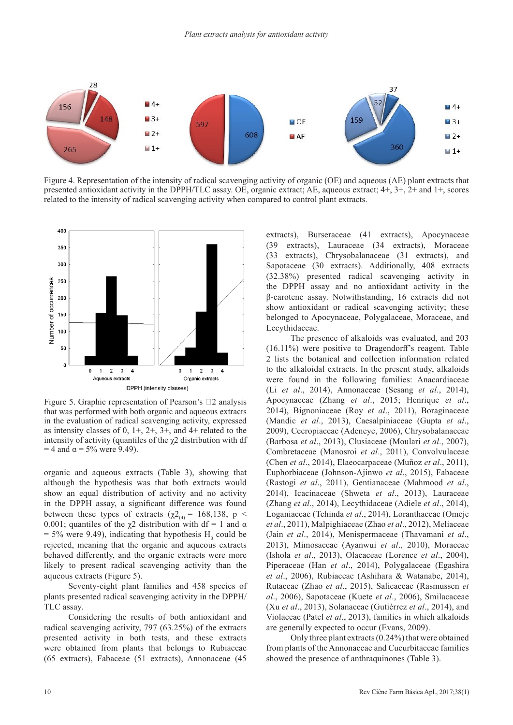

Figure 4. Representation of the intensity of radical scavenging activity of organic (OE) and aqueous (AE) plant extracts that presented antioxidant activity in the DPPH/TLC assay. OE, organic extract; AE, aqueous extract; 4+, 3+, 2+ and 1+, scores related to the intensity of radical scavenging activity when compared to control plant extracts.



Figure 5. Graphic representation of Pearson's  $\square$ 2 analysis that was performed with both organic and aqueous extracts in the evaluation of radical scavenging activity, expressed as intensity classes of  $0, 1+, 2+, 3+,$  and  $4+$  related to the intensity of activity (quantiles of the  $\chi$ 2 distribution with df  $= 4$  and  $\alpha = 5\%$  were 9.49).

organic and aqueous extracts (Table 3), showing that although the hypothesis was that both extracts would show an equal distribution of activity and no activity in the DPPH assay, a significant difference was found between these types of extracts ( $\chi^2$ <sub>(4)</sub> = 168,138, p < 0.001; quantiles of the  $\chi$ 2 distribution with df = 1 and  $\alpha$  $=$  5% were 9.49), indicating that hypothesis  $H_0$  could be rejected, meaning that the organic and aqueous extracts behaved differently, and the organic extracts were more likely to present radical scavenging activity than the aqueous extracts (Figure 5).

Seventy-eight plant families and 458 species of plants presented radical scavenging activity in the DPPH/ TLC assay.

Considering the results of both antioxidant and radical scavenging activity, 797 (63.25%) of the extracts presented activity in both tests, and these extracts were obtained from plants that belongs to Rubiaceae (65 extracts), Fabaceae (51 extracts), Annonaceae (45 extracts), Burseraceae (41 extracts), Apocynaceae (39 extracts), Lauraceae (34 extracts), Moraceae (33 extracts), Chrysobalanaceae (31 extracts), and Sapotaceae (30 extracts). Additionally, 408 extracts (32.38%) presented radical scavenging activity in the DPPH assay and no antioxidant activity in the β-carotene assay. Notwithstanding, 16 extracts did not show antioxidant or radical scavenging activity; these belonged to Apocynaceae, Polygalaceae, Moraceae, and Lecythidaceae.

The presence of alkaloids was evaluated, and 203 (16.11%) were positive to Dragendorff's reagent. Table 2 lists the botanical and collection information related to the alkaloidal extracts. In the present study, alkaloids were found in the following families: Anacardiaceae (Li *et al*., 2014), Annonaceae (Sesang *et al*., 2014), Apocynaceae (Zhang *et al*., 2015; Henrique *et al*., 2014), Bignoniaceae (Roy *et al*., 2011), Boraginaceae (Mandic *et al*., 2013), Caesalpiniaceae (Gupta *et al*., 2009), Cecropiaceae (Adeneye, 2006), Chrysobalanaceae (Barbosa *et al*., 2013), Clusiaceae (Moulari *et al*., 2007), Combretaceae (Manosroi *et al*., 2011), Convolvulaceae (Chen *et al*., 2014), Elaeocarpaceae (Muñoz *et al*., 2011), Euphorbiaceae (Johnson-Ajinwo *et al*., 2015), Fabaceae (Rastogi *et al*., 2011), Gentianaceae (Mahmood *et al*., 2014), Icacinaceae (Shweta *et al*., 2013), Lauraceae (Zhang *et al*., 2014), Lecythidaceae (Adiele *et al*., 2014), Loganiaceae (Tchinda *et al*., 2014), Loranthaceae (Omeje *et al*., 2011), Malpighiaceae (Zhao *et al*., 2012), Meliaceae (Jain *et al*., 2014), Menispermaceae (Thavamani *et al*., 2013), Mimosaceae (Ayanwui *et al*., 2010), Moraceae (Ishola *et al*., 2013), Olacaceae (Lorence *et al*., 2004), Piperaceae (Han *et al*., 2014), Polygalaceae (Egashira *et al*., 2006), Rubiaceae (Ashihara & Watanabe, 2014), Rutaceae (Zhao *et al*., 2015), Salicaceae (Rasmussen *et al*., 2006), Sapotaceae (Kuete *et al*., 2006), Smilacaceae (Xu *et al*., 2013), Solanaceae (Gutiérrez *et al*., 2014), and Violaceae (Patel *et al*., 2013), families in which alkaloids are generally expected to occur (Evans, 2009).

Only three plant extracts (0.24%) that were obtained from plants of the Annonaceae and Cucurbitaceae families showed the presence of anthraquinones (Table 3).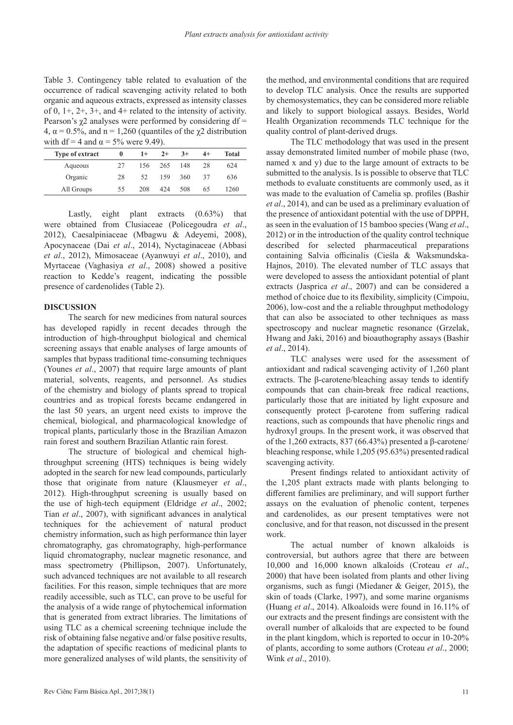Table 3. Contingency table related to evaluation of the occurrence of radical scavenging activity related to both organic and aqueous extracts, expressed as intensity classes of 0, 1+, 2+, 3+, and 4+ related to the intensity of activity. Pearson's  $\gamma$ 2 analyses were performed by considering df = 4,  $\alpha$  = 0.5%, and n = 1,260 (quantiles of the  $\chi$ 2 distribution with df = 4 and  $\alpha$  = 5% were 9.49).

| <b>Type of extract</b> |    | $1+$ | $2+$ | $3+$ | $4+$ | <b>Total</b> |
|------------------------|----|------|------|------|------|--------------|
| Aqueous                | 27 | 156  | 265  | 148  | 28   | 624          |
| Organic                | 28 | 52   | 159  | 360  | 37   | 636          |
| All Groups             | 55 | 208  | 424  | 508  | 65   | 1260         |

Lastly, eight plant extracts (0.63%) that were obtained from Clusiaceae (Policegoudra *et al*., 2012), Caesalpiniaceae (Mbagwu & Adeyemi, 2008), Apocynaceae (Dai *et al*., 2014), Nyctaginaceae (Abbasi *et al*., 2012), Mimosaceae (Ayanwuyi *et al*., 2010), and Myrtaceae (Vaghasiya *et al*., 2008) showed a positive reaction to Kedde's reagent, indicating the possible presence of cardenolides (Table 2).

## **DISCUSSION**

The search for new medicines from natural sources has developed rapidly in recent decades through the introduction of high-throughput biological and chemical screening assays that enable analyses of large amounts of samples that bypass traditional time-consuming techniques (Younes *et al*., 2007) that require large amounts of plant material, solvents, reagents, and personnel. As studies of the chemistry and biology of plants spread to tropical countries and as tropical forests became endangered in the last 50 years, an urgent need exists to improve the chemical, biological, and pharmacological knowledge of tropical plants, particularly those in the Brazilian Amazon rain forest and southern Brazilian Atlantic rain forest.

The structure of biological and chemical highthroughput screening (HTS) techniques is being widely adopted in the search for new lead compounds, particularly those that originate from nature (Klausmeyer *et al*., 2012). High-throughput screening is usually based on the use of high-tech equipment (Eldridge *et al*., 2002; Tian *et al*., 2007), with significant advances in analytical techniques for the achievement of natural product chemistry information, such as high performance thin layer chromatography, gas chromatography, high-performance liquid chromatography, nuclear magnetic resonance, and mass spectrometry (Phillipson, 2007). Unfortunately, such advanced techniques are not available to all research facilities. For this reason, simple techniques that are more readily accessible, such as TLC, can prove to be useful for the analysis of a wide range of phytochemical information that is generated from extract libraries. The limitations of using TLC as a chemical screening technique include the risk of obtaining false negative and/or false positive results, the adaptation of specific reactions of medicinal plants to more generalized analyses of wild plants, the sensitivity of

the method, and environmental conditions that are required to develop TLC analysis. Once the results are supported by chemosystematics, they can be considered more reliable and likely to support biological assays. Besides, World Health Organization recommends TLC technique for the quality control of plant-derived drugs.

The TLC methodology that was used in the present assay demonstrated limited number of mobile phase (two, named x and y) due to the large amount of extracts to be submitted to the analysis. Is is possible to observe that TLC methods to evaluate constituents are commonly used, as it was made to the evaluation of Camelia sp. profiles (Bashir *et al*., 2014), and can be used as a preliminary evaluation of the presence of antioxidant potential with the use of DPPH, as seen in the evaluation of 15 bamboo species (Wang *et al*., 2012) or in the introduction of the quality control technique described for selected pharmaceutical preparations containing Salvia officinalis (Cieśla & Waksmundska-Hajnos, 2010). The elevated number of TLC assays that were developed to assess the antioxidant potential of plant extracts (Jasprica *et al*., 2007) and can be considered a method of choice due to its flexibility, simplicity (Cimpoiu, 2006), low-cost and the a reliable throughput methodology that can also be associated to other techniques as mass spectroscopy and nuclear magnetic resonance (Grzelak, Hwang and Jaki, 2016) and bioauthography assays (Bashir *et al*., 2014).

TLC analyses were used for the assessment of antioxidant and radical scavenging activity of 1,260 plant extracts. The β-carotene/bleaching assay tends to identify compounds that can chain-break free radical reactions, particularly those that are initiated by light exposure and consequently protect β-carotene from suffering radical reactions, such as compounds that have phenolic rings and hydroxyl groups. In the present work, it was observed that of the 1,260 extracts, 837 (66.43%) presented a β-carotene/ bleaching response, while 1,205 (95.63%) presented radical scavenging activity.

Present findings related to antioxidant activity of the 1,205 plant extracts made with plants belonging to different families are preliminary, and will support further assays on the evaluation of phenolic content, terpenes and cardenolides, as our present temptatives were not conclusive, and for that reason, not discussed in the present work.

The actual number of known alkaloids is controversial, but authors agree that there are between 10,000 and 16,000 known alkaloids (Croteau *et al*., 2000) that have been isolated from plants and other living organisms, such as fungi (Miedaner & Geiger, 2015), the skin of toads (Clarke, 1997), and some marine organisms (Huang *et al*., 2014). Alkoaloids were found in 16.11% of our extracts and the present findings are consistent with the overall number of alkaloids that are expected to be found in the plant kingdom, which is reported to occur in 10-20% of plants, according to some authors (Croteau *et al*., 2000; Wink *et al*., 2010).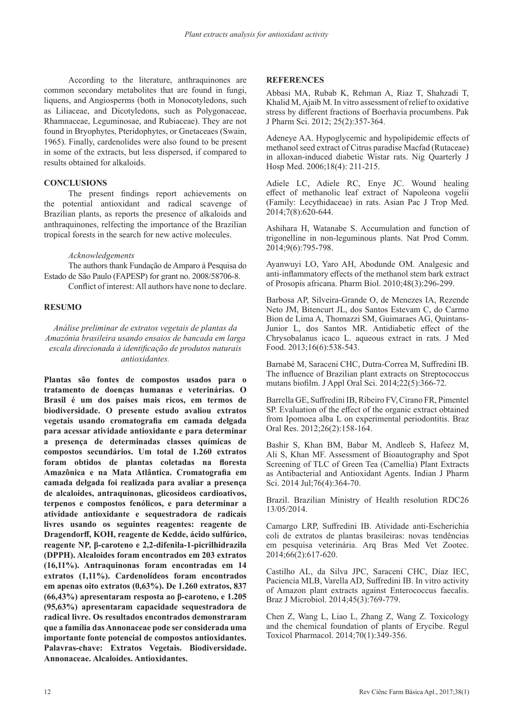According to the literature, anthraquinones are common secondary metabolites that are found in fungi, liquens, and Angiosperms (both in Monocotyledons, such as Liliaceae, and Dicotyledons, such as Polygonaceae, Rhamnaceae, Leguminosae, and Rubiaceae). They are not found in Bryophytes, Pteridophytes, or Gnetaceaes (Swain, 1965). Finally, cardenolides were also found to be present in some of the extracts, but less dispersed, if compared to results obtained for alkaloids.

# **CONCLUSIONS**

The present findings report achievements on the potential antioxidant and radical scavenge of Brazilian plants, as reports the presence of alkaloids and anthraquinones, relfecting the importance of the Brazilian tropical forests in the search for new active molecules.

#### *Acknowledgements*

The authors thank Fundação de Amparo à Pesquisa do Estado de São Paulo (FAPESP) for grant no. 2008/58706-8. Conflict of interest: All authors have none to declare.

# **RESUMO**

*Análise preliminar de extratos vegetais de plantas da Amazônia brasileira usando ensaios de bancada em larga escala direcionada à identificação de produtos naturais antioxidantes.*

**Plantas são fontes de compostos usados para o tratamento de doenças humanas e veterinárias. O Brasil é um dos países mais ricos, em termos de biodiversidade. O presente estudo avaliou extratos vegetais usando cromatografia em camada delgada para acessar atividade antioxidante e para determinar a presença de determinadas classes químicas de compostos secundários. Um total de 1.260 extratos foram obtidos de plantas coletadas na floresta Amazônica e na Mata Atlântica. Cromatografia em camada delgada foi realizada para avaliar a presença de alcaloides, antraquinonas, glicosídeos cardioativos, terpenos e compostos fenólicos, e para determinar a atividade antioxidante e sequestradora de radicais livres usando os seguintes reagentes: reagente de Dragendorff, KOH, reagente de Kedde, ácido sulfúrico, reagente NP, β-caroteno e 2,2-difenila-1-picrilhidrazila (DPPH). Alcaloides foram encontrados em 203 extratos (16,11%). Antraquinonas foram encontradas em 14 extratos (1,11%). Cardenolídeos foram encontrados em apenas oito extratos (0,63%). De 1.260 extratos, 837 (66,43%) apresentaram resposta ao β-caroteno, e 1.205 (95,63%) apresentaram capacidade sequestradora de radical livre. Os resultados encontrados demonstraram que a família das Annonaceae pode ser considerada uma importante fonte potencial de compostos antioxidantes. Palavras-chave: Extratos Vegetais. Biodiversidade. Annonaceae. Alcaloides. Antioxidantes.**

## **REFERENCES**

Abbasi MA, Rubab K, Rehman A, Riaz T, Shahzadi T, Khalid M, Ajaib M. In vitro assessment of relief to oxidative stress by different fractions of Boerhavia procumbens. Pak J Pharm Sci. 2012; 25(2):357-364.

Adeneye AA. Hypoglycemic and hypolipidemic effects of methanol seed extract of Citrus paradise Macfad (Rutaceae) in alloxan-induced diabetic Wistar rats. Nig Quarterly J Hosp Med. 2006;18(4): 211-215.

Adiele LC, Adiele RC, Enye JC. Wound healing effect of methanolic leaf extract of Napoleona vogelii (Family: Lecythidaceae) in rats. Asian Pac J Trop Med. 2014;7(8):620-644.

Ashihara H, Watanabe S. Accumulation and function of trigonelline in non-leguminous plants. Nat Prod Comm. 2014;9(6):795-798.

Ayanwuyi LO, Yaro AH, Abodunde OM. Analgesic and anti-inflammatory effects of the methanol stem bark extract of Prosopis africana. Pharm Biol. 2010;48(3):296-299.

Barbosa AP, Silveira-Grande O, de Menezes IA, Rezende Neto JM, Bitencurt JL, dos Santos Estevam C, do Carmo Bion de Lima A, Thomazzi SM, Guimaraes AG, Quintans-Junior L, dos Santos MR. Antidiabetic effect of the Chrysobalanus icaco L. aqueous extract in rats. J Med Food. 2013;16(6):538-543.

Barnabé M, Saraceni CHC, Dutra-Correa M, Suffredini IB. The influence of Brazilian plant extracts on Streptococcus mutans biofilm. J Appl Oral Sci. 2014;22(5):366-72.

Barrella GE, Suffredini IB, Ribeiro FV, Cirano FR, Pimentel SP. Evaluation of the effect of the organic extract obtained from Ipomoea alba L on experimental periodontitis. Braz Oral Res. 2012;26(2):158-164.

Bashir S, Khan BM, Babar M, Andleeb S, Hafeez M, Ali S, Khan MF. Assessment of Bioautography and Spot Screening of TLC of Green Tea (Camellia) Plant Extracts as Antibacterial and Antioxidant Agents. Indian J Pharm Sci. 2014 Jul;76(4):364-70.

Brazil. Brazilian Ministry of Health resolution RDC26 13/05/2014.

Camargo LRP, Suffredini IB. Atividade anti-Escherichia coli de extratos de plantas brasileiras: novas tendências em pesquisa veterinária. Arq Bras Med Vet Zootec. 2014;66(2):617-620.

Castilho AL, da Silva JPC, Saraceni CHC, Díaz IEC, Paciencia MLB, Varella AD, Suffredini IB. In vitro activity of Amazon plant extracts against Enterococcus faecalis. Braz J Microbiol. 2014;45(3):769-779.

Chen Z, Wang L, Liao L, Zhang Z, Wang Z. Toxicology and the chemical foundation of plants of Erycibe. Regul Toxicol Pharmacol. 2014;70(1):349-356.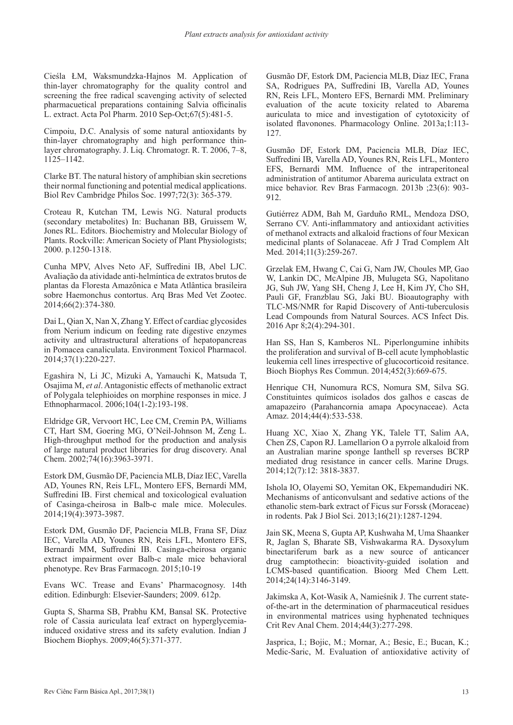Cieśla ŁM, Waksmundzka-Hajnos M. Application of thin-layer chromatography for the quality control and screening the free radical scavenging activity of selected pharmacuetical preparations containing Salvia officinalis L. extract. Acta Pol Pharm. 2010 Sep-Oct;67(5):481-5.

Cimpoiu, D.C. Analysis of some natural antioxidants by thin-layer chromatography and high performance thinlayer chromatography. J. Liq. Chromatogr. R. T. 2006, 7–8, 1125–1142.

Clarke BT. The natural history of amphibian skin secretions their normal functioning and potential medical applications. Biol Rev Cambridge Philos Soc. 1997;72(3): 365-379.

Croteau R, Kutchan TM, Lewis NG. Natural products (secondary metabolites) In: Buchanan BB, Gruissem W, Jones RL. Editors. Biochemistry and Molecular Biology of Plants. Rockville: American Society of Plant Physiologists; 2000. p.1250-1318.

Cunha MPV, Alves Neto AF, Suffredini IB, Abel LJC. Avaliação da atividade anti-helmíntica de extratos brutos de plantas da Floresta Amazônica e Mata Atlântica brasileira sobre Haemonchus contortus. Arq Bras Med Vet Zootec. 2014;66(2):374-380.

Dai L, Qian X, Nan X, Zhang Y. Effect of cardiac glycosides from Nerium indicum on feeding rate digestive enzymes activity and ultrastructural alterations of hepatopancreas in Pomacea canaliculata. Environment Toxicol Pharmacol. 2014;37(1):220-227.

Egashira N, Li JC, Mizuki A, Yamauchi K, Matsuda T, Osajima M, *et al*. Antagonistic effects of methanolic extract of Polygala telephioides on morphine responses in mice. J Ethnopharmacol. 2006;104(1-2):193-198.

Eldridge GR, Vervoort HC, Lee CM, Cremin PA, Williams CT, Hart SM, Goering MG, O'Neil-Johnson M, Zeng L. High-throughput method for the production and analysis of large natural product libraries for drug discovery. Anal Chem. 2002;74(16):3963-3971.

Estork DM, Gusmão DF, Paciencia MLB, Díaz IEC, Varella AD, Younes RN, Reis LFL, Montero EFS, Bernardi MM, Suffredini IB. First chemical and toxicological evaluation of Casinga-cheirosa in Balb-c male mice. Molecules. 2014;19(4):3973-3987.

Estork DM, Gusmão DF, Paciencia MLB, Frana SF, Díaz IEC, Varella AD, Younes RN, Reis LFL, Montero EFS, Bernardi MM, Suffredini IB. Casinga-cheirosa organic extract impairment over Balb-c male mice behavioral phenotype. Rev Bras Farmacogn. 2015;10-19

Evans WC. Trease and Evans' Pharmacognosy. 14th edition. Edinburgh: Elsevier-Saunders; 2009. 612p.

Gupta S, Sharma SB, Prabhu KM, Bansal SK. Protective role of Cassia auriculata leaf extract on hyperglycemiainduced oxidative stress and its safety evalution. Indian J Biochem Biophys. 2009;46(5):371-377.

Gusmão DF, Estork DM, Paciencia MLB, Diaz IEC, Frana SA, Rodrigues PA, Suffredini IB, Varella AD, Younes RN, Reis LFL, Montero EFS, Bernardi MM. Preliminary evaluation of the acute toxicity related to Abarema auriculata to mice and investigation of cytotoxicity of isolated flavonones. Pharmacology Online. 2013a;1:113- 127.

Gusmão DF, Estork DM, Paciencia MLB, Díaz IEC, Suffredini IB, Varella AD, Younes RN, Reis LFL, Montero EFS, Bernardi MM. Influence of the intraperitoneal administration of antitumor Abarema auriculata extract on mice behavior. Rev Bras Farmacogn. 2013b ;23(6): 903- 912.

Gutiérrez ADM, Bah M, Garduño RML, Mendoza DSO, Serrano CV. Anti-inflammatory and antioxidant activities of methanol extracts and alkaloid fractions of four Mexican medicinal plants of Solanaceae. Afr J Trad Complem Alt Med. 2014;11(3):259-267.

Grzelak EM, Hwang C, Cai G, Nam JW, Choules MP, Gao W, Lankin DC, McAlpine JB, Mulugeta SG, Napolitano JG, Suh JW, Yang SH, Cheng J, Lee H, Kim JY, Cho SH, Pauli GF, Franzblau SG, Jaki BU. Bioautography with TLC-MS/NMR for Rapid Discovery of Anti-tuberculosis Lead Compounds from Natural Sources. ACS Infect Dis. 2016 Apr 8;2(4):294-301.

Han SS, Han S, Kamberos NL. Piperlongumine inhibits the proliferation and survival of B-cell acute lymphoblastic leukemia cell lines irrespective of glucocorticoid resitance. Bioch Biophys Res Commun. 2014;452(3):669-675.

Henrique CH, Nunomura RCS, Nomura SM, Silva SG. Constituintes químicos isolados dos galhos e cascas de amapazeiro (Parahancornia amapa Apocynaceae). Acta Amaz. 2014;44(4):533-538.

Huang XC, Xiao X, Zhang YK, Talele TT, Salim AA, Chen ZS, Capon RJ. Lamellarion O a pyrrole alkaloid from an Australian marine sponge Ianthell sp reverses BCRP mediated drug resistance in cancer cells. Marine Drugs. 2014;12(7):12: 3818-3837.

Ishola IO, Olayemi SO, Yemitan OK, Ekpemandudiri NK. Mechanisms of anticonvulsant and sedative actions of the ethanolic stem-bark extract of Ficus sur Forssk (Moraceae) in rodents. Pak J Biol Sci. 2013;16(21):1287-1294.

Jain SK, Meena S, Gupta AP, Kushwaha M, Uma Shaanker R, Jaglan S, Bharate SB, Vishwakarma RA. Dysoxylum binectariferum bark as a new source of anticancer drug camptothecin: bioactivity-guided isolation and LCMS-based quantification. Bioorg Med Chem Lett. 2014;24(14):3146-3149.

Jakimska A, Kot-Wasik A, Namieśnik J. The current stateof-the-art in the determination of pharmaceutical residues in environmental matrices using hyphenated techniques Crit Rev Anal Chem. 2014;44(3):277-298.

Jasprica, I.; Bojic, M.; Mornar, A.; Besic, E.; Bucan, K.; Medic-Saric, M. Evaluation of antioxidative activity of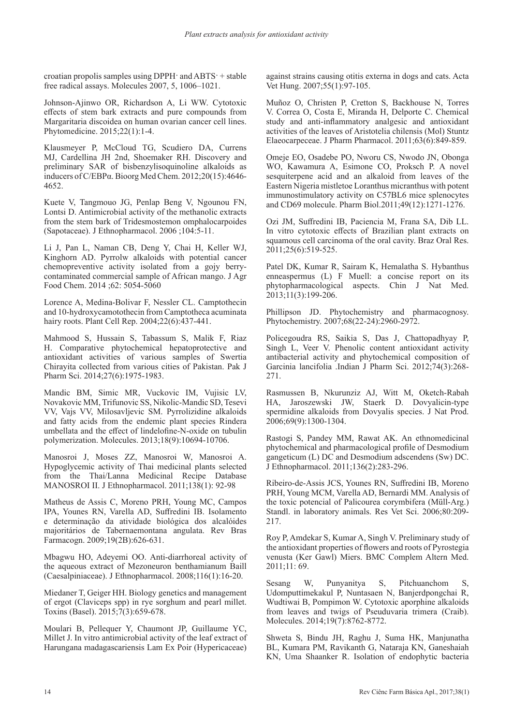croatian propolis samples using DPPH $\cdot$  and ABTS $\cdot$  + stable free radical assays. Molecules 2007, 5, 1006–1021.

Johnson-Ajinwo OR, Richardson A, Li WW. Cytotoxic effects of stem bark extracts and pure compounds from Margaritaria discoidea on human ovarian cancer cell lines. Phytomedicine. 2015;22(1):1-4.

Klausmeyer P, McCloud TG, Scudiero DA, Currens MJ, Cardellina JH 2nd, Shoemaker RH. Discovery and preliminary SAR of bisbenzylisoquinoline alkaloids as inducers of C/EBPα. Bioorg Med Chem. 2012;20(15):4646- 4652.

Kuete V, Tangmouo JG, Penlap Beng V, Ngounou FN, Lontsi D. Antimicrobial activity of the methanolic extracts from the stem bark of Tridesmostemon omphalocarpoides (Sapotaceae). J Ethnopharmacol. 2006 ;104:5-11.

Li J, Pan L, Naman CB, Deng Y, Chai H, Keller WJ, Kinghorn AD. Pyrrolw alkaloids with potential cancer chemopreventive activity isolated from a gojy berrycontaminated commercial sample of African mango. J Agr Food Chem. 2014 ;62: 5054-5060

Lorence A, Medina-Bolivar F, Nessler CL. Camptothecin and 10-hydroxycamotothecin from Camptotheca acuminata hairy roots. Plant Cell Rep. 2004;22(6):437-441.

Mahmood S, Hussain S, Tabassum S, Malik F, Riaz H. Comparative phytochemical hepatoprotective and antioxidant activities of various samples of Swertia Chirayita collected from various cities of Pakistan. Pak J Pharm Sci. 2014;27(6):1975-1983.

Mandic BM, Simic MR, Vuckovic IM, Vujisic LV, Novakovic MM, Trifunovic SS, Nikolic-Mandic SD, Tesevi VV, Vajs VV, Milosavljevic SM. Pyrrolizidine alkaloids and fatty acids from the endemic plant species Rindera umbellata and the effect of lindelofine-N-oxide on tubulin polymerization. Molecules. 2013;18(9):10694-10706.

Manosroi J, Moses ZZ, Manosroi W, Manosroi A. Hypoglycemic activity of Thai medicinal plants selected from the Thai/Lanna Medicinal Recipe Database MANOSROI II. J Ethnopharmacol. 2011;138(1): 92-98

Matheus de Assis C, Moreno PRH, Young MC, Campos IPA, Younes RN, Varella AD, Suffredini IB. Isolamento e determinação da atividade biológica dos alcalóides majoritários de Tabernaemontana angulata. Rev Bras Farmacogn. 2009;19(2B):626-631.

Mbagwu HO, Adeyemi OO. Anti-diarrhoreal activity of the aqueous extract of Mezoneuron benthamianum Baill (Caesalpiniaceae). J Ethnopharmacol. 2008;116(1):16-20.

Miedaner T, Geiger HH. Biology genetics and management of ergot (Claviceps spp) in rye sorghum and pearl millet. Toxins (Basel). 2015;7(3):659-678.

Moulari B, Pellequer Y, Chaumont JP, Guillaume YC, Millet J. In vitro antimicrobial activity of the leaf extract of Harungana madagascariensis Lam Ex Poir (Hypericaceae)

against strains causing otitis externa in dogs and cats. Acta Vet Hung. 2007;55(1):97-105.

Muñoz O, Christen P, Cretton S, Backhouse N, Torres V. Correa O, Costa E, Miranda H, Delporte C. Chemical study and anti-inflammatory analgesic and antioxidant activities of the leaves of Aristotelia chilensis (Mol) Stuntz Elaeocarpeceae. J Pharm Pharmacol. 2011;63(6):849-859.

Omeje EO, Osadebe PO, Nworu CS, Nwodo JN, Obonga WO, Kawamura A, Esimone CO, Proksch P. A novel sesquiterpene acid and an alkaloid from leaves of the Eastern Nigeria mistletoe Loranthus micranthus with potent immunostimulatory activity on C57BL6 mice splenocytes and CD69 molecule. Pharm Biol.2011;49(12):1271-1276.

Ozi JM, Suffredini IB, Paciencia M, Frana SA, Dib LL. In vitro cytotoxic effects of Brazilian plant extracts on squamous cell carcinoma of the oral cavity. Braz Oral Res. 2011;25(6):519-525.

Patel DK, Kumar R, Sairam K, Hemalatha S. Hybanthus enneaspermus (L) F Muell: a concise report on its phytopharmacological aspects. Chin J Nat Med. 2013;11(3):199-206.

Phillipson JD. Phytochemistry and pharmacognosy. Phytochemistry. 2007;68(22-24):2960-2972.

Policegoudra RS, Saikia S, Das J, Chattopadhyay P, Singh L, Veer V. Phenolic content antioxidant activity antibacterial activity and phytochemical composition of Garcinia lancifolia .Indian J Pharm Sci. 2012;74(3):268- 271.

Rasmussen B, Nkurunziz AJ, Witt M, Oketch-Rabah HA, Jaroszewski JW, Staerk D. Dovyalicin-type spermidine alkaloids from Dovyalis species. J Nat Prod. 2006;69(9):1300-1304.

Rastogi S, Pandey MM, Rawat AK. An ethnomedicinal phytochemical and pharmacological profile of Desmodium gangeticum (L) DC and Desmodium adscendens (Sw) DC. J Ethnopharmacol. 2011;136(2):283-296.

Ribeiro-de-Assis JCS, Younes RN, Suffredini IB, Moreno PRH, Young MCM, Varella AD, Bernardi MM. Analysis of the toxic potencial of Palicourea corymbifera (Müll-Arg.) Standl. in laboratory animals. Res Vet Sci. 2006;80:209- 217.

Roy P, Amdekar S, Kumar A, Singh V. Preliminary study of the antioxidant properties of flowers and roots of Pyrostegia venusta (Ker Gawl) Miers. BMC Complem Altern Med. 2011;11: 69.

Sesang W, Punyanitya S, Pitchuanchom S, Udomputtimekakul P, Nuntasaen N, Banjerdpongchai R, Wudtiwai B, Pompimon W. Cytotoxic aporphine alkaloids from leaves and twigs of Pseuduvaria trimera (Craib). Molecules. 2014;19(7):8762-8772.

Shweta S, Bindu JH, Raghu J, Suma HK, Manjunatha BL, Kumara PM, Ravikanth G, Nataraja KN, Ganeshaiah KN, Uma Shaanker R. Isolation of endophytic bacteria